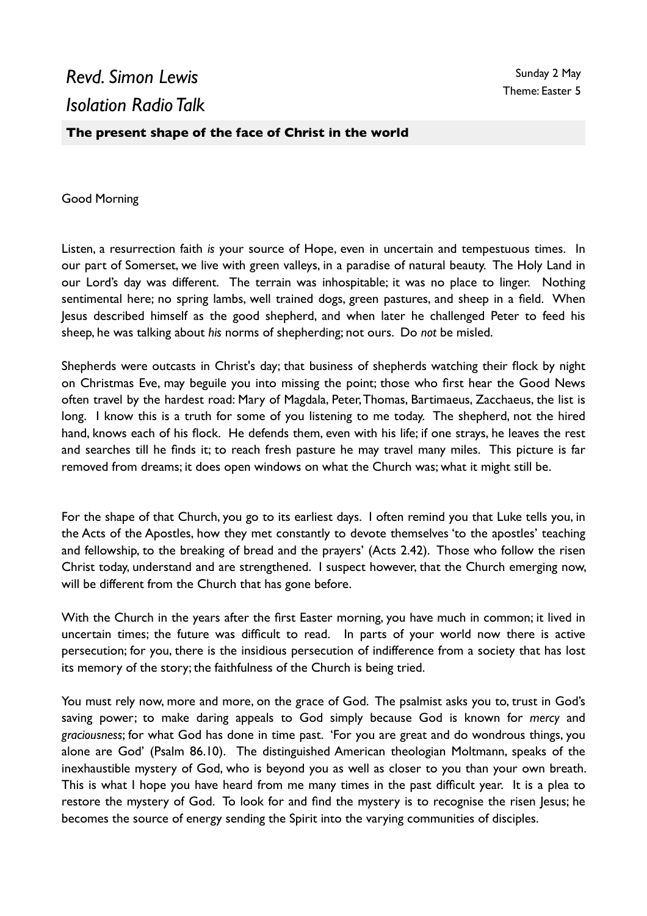## *Revd. Simon Lewis Isolation Radio Talk*

**The present shape of the face of Christ in the world**

Good Morning

Listen, a resurrection faith *is* your source of Hope, even in uncertain and tempestuous times. In our part of Somerset, we live with green valleys, in a paradise of natural beauty. The Holy Land in our Lord's day was different. The terrain was inhospitable; it was no place to linger. Nothing sentimental here; no spring lambs, well trained dogs, green pastures, and sheep in a field. When Jesus described himself as the good shepherd, and when later he challenged Peter to feed his sheep, he was talking about *his* norms of shepherding; not ours. Do *not* be misled.

Shepherds were outcasts in Christ's day; that business of shepherds watching their flock by night on Christmas Eve, may beguile you into missing the point; those who first hear the Good News often travel by the hardest road: Mary of Magdala, Peter, Thomas, Bartimaeus, Zacchaeus, the list is long. I know this is a truth for some of you listening to me today. The shepherd, not the hired hand, knows each of his flock. He defends them, even with his life; if one strays, he leaves the rest and searches till he finds it; to reach fresh pasture he may travel many miles. This picture is far removed from dreams; it does open windows on what the Church was; what it might still be.

For the shape of that Church, you go to its earliest days. I often remind you that Luke tells you, in the Acts of the Apostles, how they met constantly to devote themselves 'to the apostles' teaching and fellowship, to the breaking of bread and the prayers' (Acts 2.42). Those who follow the risen Christ today, understand and are strengthened. I suspect however, that the Church emerging now, will be different from the Church that has gone before.

With the Church in the years after the first Easter morning, you have much in common; it lived in uncertain times; the future was difficult to read. In parts of your world now there is active persecution; for you, there is the insidious persecution of indifference from a society that has lost its memory of the story; the faithfulness of the Church is being tried.

You must rely now, more and more, on the grace of God. The psalmist asks you to, trust in God's saving power; to make daring appeals to God simply because God is known for *mercy* and *graciousness*; for what God has done in time past. 'For you are great and do wondrous things, you alone are God' (Psalm 86.10). The distinguished American theologian Moltmann, speaks of the inexhaustible mystery of God, who is beyond you as well as closer to you than your own breath. This is what I hope you have heard from me many times in the past difficult year. It is a plea to restore the mystery of God. To look for and find the mystery is to recognise the risen Jesus; he becomes the source of energy sending the Spirit into the varying communities of disciples.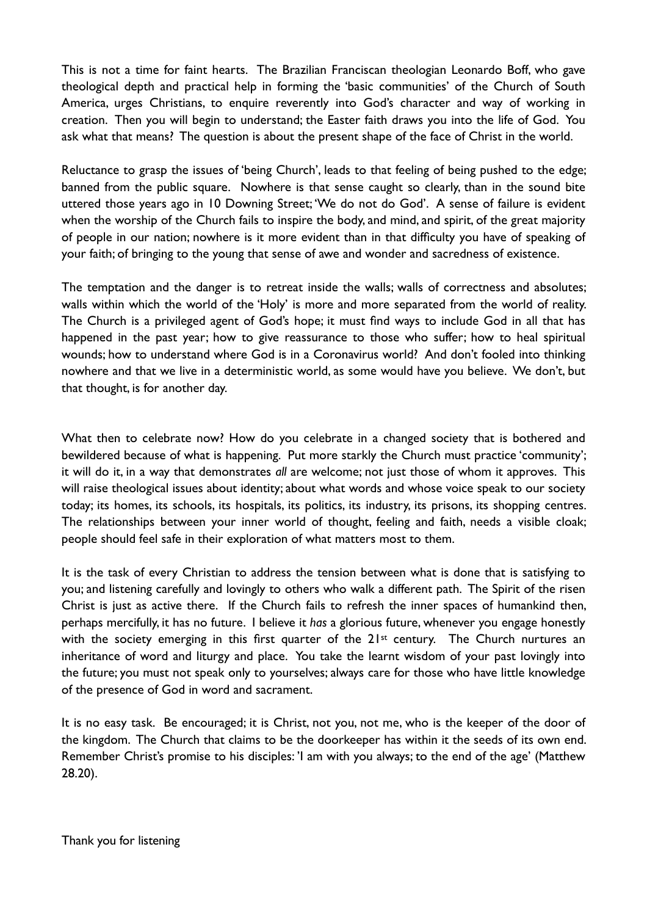This is not a time for faint hearts. The Brazilian Franciscan theologian Leonardo Boff, who gave theological depth and practical help in forming the 'basic communities' of the Church of South America, urges Christians, to enquire reverently into God's character and way of working in creation. Then you will begin to understand; the Easter faith draws you into the life of God. You ask what that means? The question is about the present shape of the face of Christ in the world.

Reluctance to grasp the issues of 'being Church', leads to that feeling of being pushed to the edge; banned from the public square. Nowhere is that sense caught so clearly, than in the sound bite uttered those years ago in 10 Downing Street; 'We do not do God'. A sense of failure is evident when the worship of the Church fails to inspire the body, and mind, and spirit, of the great majority of people in our nation; nowhere is it more evident than in that difficulty you have of speaking of your faith; of bringing to the young that sense of awe and wonder and sacredness of existence.

The temptation and the danger is to retreat inside the walls; walls of correctness and absolutes; walls within which the world of the 'Holy' is more and more separated from the world of reality. The Church is a privileged agent of God's hope; it must find ways to include God in all that has happened in the past year; how to give reassurance to those who suffer; how to heal spiritual wounds; how to understand where God is in a Coronavirus world? And don't fooled into thinking nowhere and that we live in a deterministic world, as some would have you believe. We don't, but that thought, is for another day.

What then to celebrate now? How do you celebrate in a changed society that is bothered and bewildered because of what is happening. Put more starkly the Church must practice 'community'; it will do it, in a way that demonstrates *all* are welcome; not just those of whom it approves. This will raise theological issues about identity; about what words and whose voice speak to our society today; its homes, its schools, its hospitals, its politics, its industry, its prisons, its shopping centres. The relationships between your inner world of thought, feeling and faith, needs a visible cloak; people should feel safe in their exploration of what matters most to them.

It is the task of every Christian to address the tension between what is done that is satisfying to you; and listening carefully and lovingly to others who walk a different path. The Spirit of the risen Christ is just as active there. If the Church fails to refresh the inner spaces of humankind then, perhaps mercifully, it has no future. I believe it *has* a glorious future, whenever you engage honestly with the society emerging in this first quarter of the 21<sup>st</sup> century. The Church nurtures an inheritance of word and liturgy and place. You take the learnt wisdom of your past lovingly into the future; you must not speak only to yourselves; always care for those who have little knowledge of the presence of God in word and sacrament.

It is no easy task. Be encouraged; it is Christ, not you, not me, who is the keeper of the door of the kingdom. The Church that claims to be the doorkeeper has within it the seeds of its own end. Remember Christ's promise to his disciples: 'I am with you always; to the end of the age' (Matthew 28.20).